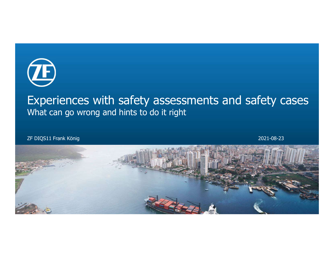

# Experiences with safety assessments and safety cases What can go wrong and hints to do it right

ZF DIQS11 Frank König 2021-08-23

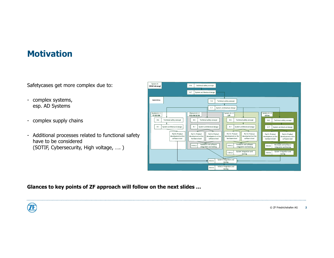# **Motivation**

- esp. AD Systems
- 
- have to be considered (SOTIF, Cybersecurity, High voltage, …. )

| <b>Motivation</b>                                                                                                      |                                                                                                                                                                                                                                                                                                                                                                                                                                                                                                                                                                                                                                                                                                                      |
|------------------------------------------------------------------------------------------------------------------------|----------------------------------------------------------------------------------------------------------------------------------------------------------------------------------------------------------------------------------------------------------------------------------------------------------------------------------------------------------------------------------------------------------------------------------------------------------------------------------------------------------------------------------------------------------------------------------------------------------------------------------------------------------------------------------------------------------------------|
| Safetycases get more complex due to:                                                                                   | System A<br>$4 - 6$<br>Technical safety concept<br>[OEM Fahrzeug]                                                                                                                                                                                                                                                                                                                                                                                                                                                                                                                                                                                                                                                    |
| - complex systems,<br>esp. AD Systems                                                                                  | $4 - 7$<br>System architectural design<br><b>Hybrid Drive</b><br>$4 - 6$<br>Technical safety concept<br>$4 - 7$<br>System architectural design                                                                                                                                                                                                                                                                                                                                                                                                                                                                                                                                                                       |
| - complex supply chains                                                                                                | System A.1.1<br>Element A.1.2<br>System A.1.4<br>System A.1.3<br>ZF EGS SW<br>EGS-HW & SW<br>eDrive<br>LVP<br>$4 - 6$<br>Technical safety concept<br>Technical safety concept<br>Technical safety concept<br>$4 - 6$<br>$4 - 6$<br>Technical safety concept<br>$4 - 6$<br>$4 - 7$<br>System architectural design<br>$4 - 7$<br>System architectural design<br>$4 - 7$<br>System architectural design<br>4-7   System architectural design                                                                                                                                                                                                                                                                            |
| - Additional processes related to functional safety<br>have to be considered<br>(SOTIF, Cybersecurity, High voltage, ) | Part 5: Product<br>Part 6: Product<br>Part 6: Product<br>Part 5: Product<br>Part 6: Product<br>Part 5: Product<br>Part 6: Product<br>development at the<br>levelopment at the<br>development at the<br>development at the<br>development at the<br>development at the<br>development at the<br>software level<br>software level<br>hardware level<br>hardware level<br>software level<br>hardware level<br>software level<br>Hardware and software<br>Hardware and software<br>Hardware and software<br>$4 - 8.4.2$<br>$4 - 8.4.2$<br>$4 - 8.4.2$<br>integration and testing<br>integration and testing<br>integration and testing<br>System integration and<br>System integration and<br>$4 - 8.4.3$<br>$4 - 8.4.3$ |
|                                                                                                                        | testing<br>testing<br>System integration and<br>$4 - 8.4.3$<br>testing<br>Vehicle integration and<br>$4 - 8.4.3$<br>testing                                                                                                                                                                                                                                                                                                                                                                                                                                                                                                                                                                                          |

Glances to key points of ZF approach will follow on the next slides …

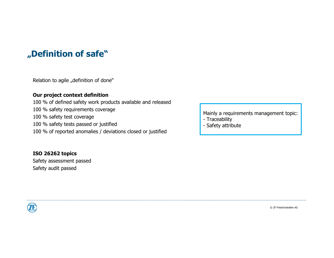# "<br>"Definition of safe"<br>"Relation to asile, definition of done"

**Definition of safe"**<br>Relation to agile "definition of done"<br>**Our project context definition**<br>100 % of defined safety work products available and released **Definition of safe"**<br>Relation to agile "definition of done"<br>**Our project context definition**<br>100 % of defined safety work products available and released<br>100 % safety test coverage<br>100 % safety test coverage **Definition of safe**"<br>
Relation to agile "definition of done"<br> **Our project context definition**<br>
100 % safety requirements coverage<br>
100 % safety test coverage<br>
100 % safety tests passed or justified<br>
100 % safety tests pa **Definition of safe"**<br>
Relation to agile "definition of done"<br> **Our project context definition**<br>
100 % safety requirements coverage<br>
100 % safety test coverage<br>
100 % safety tests passed or justified<br>
100 % of reported ano **Definition of safe**"<br>
Relation to agile "definition of done"<br> **Our project context definition**<br>
100 % of defined safety work products available and released<br>
100 % safety test coverage<br>
100 % safety tests passed or justif **Definition of safe"**<br>
Relation to agile "definition of done"<br> **Our project context definition**<br>
100 % of defined safety work products available and released<br>
100 % safety requirements coverage<br>
100 % safety tests passed o **Definition of safe**"<br>
Relation to agile "definition of done"<br>
Our project context definition<br>
100 % of defined safety work products available and released<br>
100 % safety requirements coverage<br>
100 % safety tests passed or **Definition of safe"**<br>
Relation to agile "definition of done"<br> **Our project context definition**<br>
100 % of defined safety work products available and released<br>
100 % safety test coverage<br>
100 % safety tests passed or justif **Safety School Andrew Context definition**<br> **Safety work products**<br> **Safety requirements coverage**<br>
100 % safety test coverage<br>
100 % safety test coverage<br>
100 % safety tests passed or justified<br>
100 % of reported anomalies

ISO 26262 topics

7F

Mainly a requirements management topic: Mainly a requirements management topic:<br>- Traceability<br>- Safety attribute Mainly a requirements management topic:<br>- Traceability<br>- Safety attribute

- 
-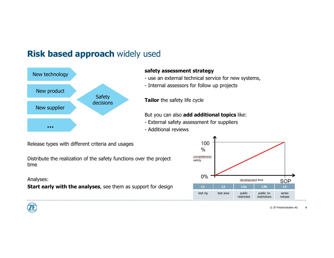# Risk based approach widely used



#### safety assessment strategy

- USed<br>
safety assessment strategy<br>
 use an external technical service for new systems,<br>
 Internal assessors for follow up projects<br>
Tailor the safety life cycle USed<br>
safety assessment strategy<br>
- use an external technical service for new systems,<br>
- Internal assessors for follow up projects<br>
Tailor the safety life cycle
- 

Tailor the safety life cycle

But you can also add additional topics like:

- 
- 



Release types with different criteria and usages

Distribute the realization of the safety functions over the project safety time

Analyses:

Start early with the analyses, see them as support for design

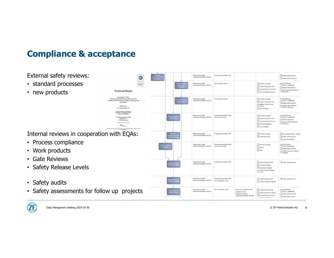# Compliance & acceptance

## External safety reviews:

- standard processes
- 

• Work products • Gate Reviews

• Safety audits

Engineering Quality<br>Assurance Engineer (EQAE) Communication Record Engineering Quality<br>Assurance Engineer (EQAE) Work product owner SW time schedule ALM\_Review<br>(ALM\_Completed) Chesse containty<br>Edd value Quality Assurance Plan  $\Box$  Project action item list Document Review Record Document Review Record • new products<br>
Evaluation of the Evaluation of the Evaluation of the Evaluation of the Evaluation of the Evaluation of the Evaluation of the Evaluation of the Contemporarism and the corresponding functional aster) managem Work Products to review Engineering Quality<br>Assurance Engineer (EQAE) SW time schedule ALM\_Review<br>
(ALM\_Completed) Work product owner Quality Assurance Plan Project action item list Sample Check Review Sample Check Review<br>Record (filed out) ZF Friedrichshafen AG Work Products nical Report: ZF76691aT<br>Ion 1.1 dated 2012-07-02<br>Jrder No : 76246071 ALM\_Review<br>(ALM\_Completed) Process Responsible Roles  $\Box$ SA/time schedule Engineering Quality<br>Assurance Engineer (EQAE) TÜV SÜD Automotive heck pro<br>adherer (acc. to org-chart) Quality Assurance Plan SW time schedule D-85748 Garching Process Review Record Process Review Record<br>
(filled out) Process (released)  $\begin{array}{|c|} \hline \textbf{DMASS} \\ \hline \textbf{1.33}\end{array}$ Vork Products Internal reviews in cooperation with EQAs:  $\boxed{\equiv}$  SW time schedule ALM\_Action (ALM\_Closed) Engineering Quality<br>Assurance Engineer (EQAE) Project team members (PT) Quality Standards Project action item list Assessment Report • Process compliance Engineering Quality<br>Assurance Engineer (EQAE) Process Responsible Roles<br>(acc. to org-chart) SW time schedule ALM\_Review<br>(ALM\_Completed) Metrics Project action item list Data Quality Assurance Report<br>(drafted) Project team members (PT) Engineering Quality<br>Assurance Engineer (EQAE) Project action item list  $\rule{1em}{0.15mm}$  Project action item list SW time schedule • Safety Release Levels Assessment Report  $A$  records and findings<br>of QA Engineering Quality<br>Assurance Engineer (EQAE) Project team members (PT) Project action item list Project action item list SW coordinator (SWC) Cuality Assurance Report • Safety assessments for follow up projects **Express** Coasts and the subsequent coasts ALM\_Review<br>(ALM\_Completed) SW coordinator (SWC) Project team members (PT) Project action item list Customer (CUS) Quality Assurance Report Engineering Quality Project action item list Process Review Record Assurance Manag Project status report

Project team members (PT)



. . . . . .

Claas Managment meeting 2019-10-30

© ZF Friedrichshafen AG

Project action item list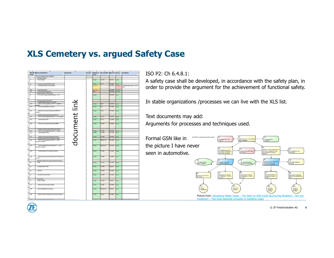# XLS Cemetery vs. argued Safety Case



## ISO P2: Ch 6.4.8.1:

A safety case shall be developed, in accordance with the safety plan, in order to provide the argument for the achievement of functional safety.

In stable organizations /processes we can live with the XLS list.

Text documents may add:

Arguments for processes and techniques used.

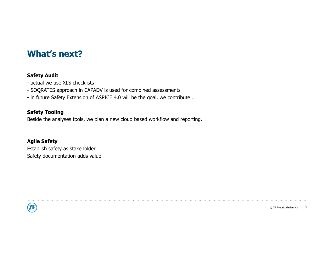# What's next?

### Safety Audit

- 
- What's next?<br>Safety Audit<br>- actual we use XLS checklists<br>- SOQRATES approach in CAPADV is used for combined assessr<br>- in future Safety Extension of ASPICE 4.0 will be the goal, we o
- What's next?<br>
Safety Audit<br>
 actual we use XLS checklists<br>
 SOQRATES approach in CAPADV is used for combined assessments<br>
 in future Safety Extension of ASPICE 4.0 will be the goal, we contribute ...<br>
Safety Tooling

### Safety Tooling

What's next?<br>
Safety Audit<br>
- actual we use XLS checklists<br>
- SOQRATES approach in CAPADV is used for combined assessments<br>
- in future Safety Extension of ASPICE 4.0 will be the goal, we contribute ...<br>
Safety Tooling<br>
Be Beside the analyses tools, we plan a new cloud based workflow and reporting.

## Agile Safety

Establish safety as stakeholder Safety documentation adds value